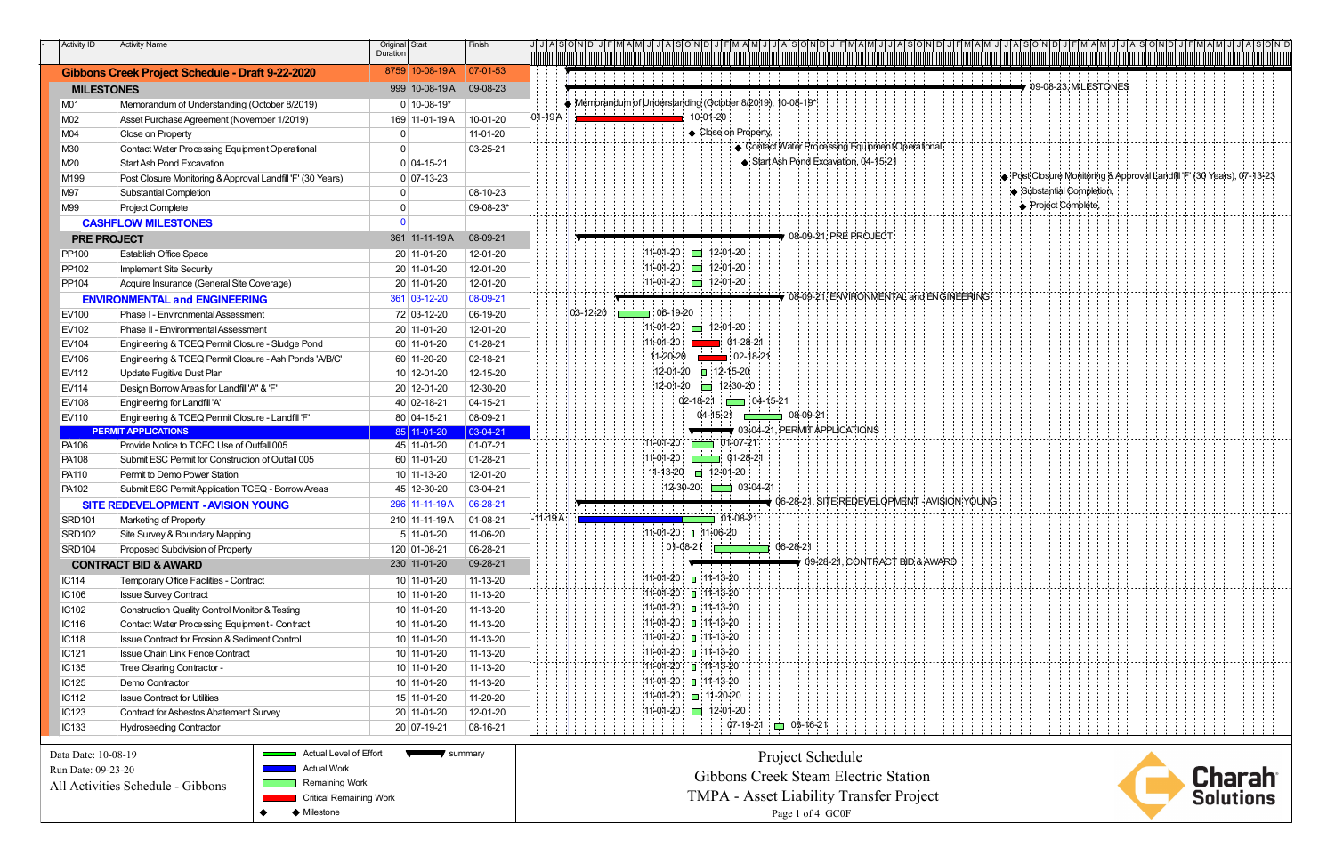| Activity ID         | <b>Activity Name</b>                                       | Original Start                 |                              | Finish       |             |             | リ J   A  S  O  N  D  J   F  M  A  M  J  J  A  S  O  N  D  J   F  M  A  M  J                                                                                                              | FIM AIM JI JI AI SIONI     |
|---------------------|------------------------------------------------------------|--------------------------------|------------------------------|--------------|-------------|-------------|------------------------------------------------------------------------------------------------------------------------------------------------------------------------------------------|----------------------------|
|                     |                                                            | Duration                       |                              |              |             |             |                                                                                                                                                                                          |                            |
|                     | Gibbons Creek Project Schedule - Draft 9-22-2020           |                                | 8759 10-08-19A               | $ 07-01-53 $ |             |             |                                                                                                                                                                                          |                            |
| <b>MILESTONES</b>   |                                                            |                                | 999 10-08-19A                | 09-08-23     |             |             | $\blacktriangledown$ 09-08-23, MILESTONES                                                                                                                                                |                            |
| M01                 | Memorandum of Understanding (October 8/2019)               |                                | $0$ 10-08-19*                |              |             |             | $\blacklozenge$ Memorandum of Understanding (October 8/2019), 10-08-19*<br>and a state of the state of the state of the state of the state of the state of the state of the state of the |                            |
| M02                 | Asset Purchase Agreement (November 1/2019)                 |                                | 169 11-01-19 A               | 10-01-20     | 01-19A      |             | 10-01-20                                                                                                                                                                                 |                            |
| M04                 | Close on Property                                          | $\mathbf{0}$                   |                              | 11-01-20     |             |             | Close on Property                                                                                                                                                                        |                            |
| M30                 | Contact Water Processing Equipment Operational             | $\Omega$                       |                              | 03-25-21     |             |             | Contact Water Processing Equipment Operational,                                                                                                                                          |                            |
| M20                 | <b>Start Ash Pond Excavation</b>                           |                                | $0$ 04-15-21                 |              |             |             | Start Ash Pond Excavation, 04-15-21                                                                                                                                                      |                            |
| M199                | Post Closure Monitoring & Approval Landfill 'F' (30 Years) |                                | $0 07-13-23$                 |              |             |             | O Post Closure Monitoring & Approval Landfill F' (30 Years), 07-13-23                                                                                                                    |                            |
| M97                 | <b>Substantial Completion</b>                              | $\mathbf{0}$                   |                              | 08-10-23     |             |             | Substantial Completion                                                                                                                                                                   |                            |
| M99                 | <b>Project Complete</b>                                    | $\mathbf 0$                    |                              | 09-08-23*    |             |             | ♦ Project Complete                                                                                                                                                                       |                            |
|                     | <b>CASHFLOW MILESTONES</b>                                 | $\Omega$                       |                              |              |             |             |                                                                                                                                                                                          |                            |
| <b>PRE PROJECT</b>  |                                                            |                                | 361 11-11-19A                | 08-09-21     |             |             | $\blacktriangledown$ 08-09-21, PRE PROJECT                                                                                                                                               |                            |
| PP100               | <b>Establish Office Space</b>                              |                                | 20 11-01-20                  | 12-01-20     |             |             | $11-01-20$ 12-01-20                                                                                                                                                                      |                            |
| PP102               | <b>Implement Site Security</b>                             |                                | $20$ 11-01-20                | 12-01-20     |             |             | $11-01-20$ 12-01-20                                                                                                                                                                      |                            |
| PP104               | Acquire Insurance (General Site Coverage)                  |                                | 20 11-01-20                  | 12-01-20     |             |             | $11 - 01 - 20$ 12-01-20                                                                                                                                                                  |                            |
|                     |                                                            |                                |                              |              |             |             | 08-09-21, ENVIRONMENTAL and ENGINEERING                                                                                                                                                  |                            |
|                     | <b>ENVIRONMENTAL and ENGINEERING</b>                       |                                | 361 03-12-20                 | 08-09-21     |             |             |                                                                                                                                                                                          |                            |
| EV100               | Phase I - Environmental Assessment                         |                                | 72 03-12-20                  | 06-19-20     |             | $ 03-12 20$ | $106-19-20$                                                                                                                                                                              |                            |
| EV102               | Phase II - Environmental Assessment                        |                                | 20 11-01-20                  | 12-01-20     |             |             | $11-01-20$ 12-01-20                                                                                                                                                                      |                            |
| EV104               | Engineering & TCEQ Permit Closure - Sludge Pond            |                                | 60 11-01-20                  | 01-28-21     |             |             | $11 - 01 - 20$<br>$\frac{1}{2}$ 01-28-21                                                                                                                                                 |                            |
| EV106               | Engineering & TCEQ Permit Closure - Ash Ponds 'A/B/C'      |                                | 60 11-20-20                  | 02-18-21     |             |             | $11-20-20$ $\frac{1}{20}$ 02-18-21                                                                                                                                                       |                            |
| EV112               | Update Fugitive Dust Plan                                  |                                | $10$ 12-01-20                | 12-15-20     |             |             | $12-01-20$ 112-15-20                                                                                                                                                                     |                            |
| <b>EV114</b>        | Design Borrow Areas for Landfill 'A" & 'F'                 |                                | 20 12-01-20                  | 12-30-20     |             |             | $12-01-20$ $-12+30-20$                                                                                                                                                                   |                            |
| EV108               | Engineering for Landfill 'A'                               |                                | 40 02-18-21                  | 04-15-21     |             |             | $02-18-21$ $04-15-21$                                                                                                                                                                    |                            |
| EV110               | Engineering & TCEQ Permit Closure - Landfill 'F'           |                                | 80 04-15-21                  | 08-09-21     |             |             | $04-15-21$<br>$\Box$ 08-09-21                                                                                                                                                            |                            |
|                     | <b>PERMIT APPLICATIONS</b>                                 |                                | 85 11-01-20                  | 03-04-21     |             |             | $\rightarrow$ 03-04-21, PERMIT APPLICATIONS                                                                                                                                              |                            |
| PA106               | Provide Notice to TCEQ Use of Outfall 005                  |                                | 45 11-01-20                  | 01-07-21     |             |             | $101-07-21$<br>$11 - 01 - 20$                                                                                                                                                            |                            |
| PA108               | Submit ESC Permit for Construction of Outfall 005          |                                | 60 11-01-20                  | 01-28-21     |             |             | 11-01-20<br>$\frac{1}{2}$ 01-28-21                                                                                                                                                       |                            |
| PA110               | Permit to Demo Power Station                               |                                | $10$   11-13-20              | 12-01-20     |             |             | 11-13-20 = 12-01-20                                                                                                                                                                      |                            |
| PA102               | Submit ESC Permit Application TCEQ - Borrow Areas          |                                | 45 12-30-20                  | 03-04-21     |             |             | $12-30-20$ 03-04-21                                                                                                                                                                      |                            |
|                     | <b>SITE REDEVELOPMENT - AVISION YOUNG</b>                  |                                | 296 11-11-19A                | 06-28-21     |             |             | $\blacktriangledown$ 06-28-21, SITE REDEVELOPMENT - AVISION YOUNG                                                                                                                        |                            |
| <b>SRD101</b>       | Marketing of Property                                      |                                | 210 11-11-19A                | $ 01-08-21$  | $-11 - 19A$ |             | $01-08-21$                                                                                                                                                                               |                            |
| <b>SRD102</b>       | Site Survey & Boundary Mapping                             |                                | $5 11-01-20$                 | 11-06-20     |             |             | $11-01-20$   $11-06-20$                                                                                                                                                                  |                            |
| <b>SRD104</b>       | Proposed Subdivision of Property                           |                                | 120 01-08-21                 | 06-28-21     |             |             | $01-08+21$<br>06-28-21                                                                                                                                                                   |                            |
|                     | <b>CONTRACT BID &amp; AWARD</b>                            |                                | 230 11-01-20                 | 09-28-21     |             |             | .<br>$\rightarrow$ 09-28-21, CONTRACT BID & AWARD                                                                                                                                        |                            |
| IC114               | Temporary Office Facilities - Contract                     |                                | $10$ 11-01-20                | 11-13-20     |             |             | $11-01-20$ 11-13-20                                                                                                                                                                      |                            |
| IC106               | <b>Issue Survey Contract</b>                               |                                | $10$ 11-01-20                | 11-13-20     |             |             | $11-01-20$ 11-13-20                                                                                                                                                                      |                            |
| IC102               | <b>Construction Quality Control Monitor &amp; Testing</b>  |                                | $10$ 11-01-20                | 11-13-20     |             |             | $11-01-20$ 11-13-20                                                                                                                                                                      |                            |
| IC116               | Contact Water Processing Equipment - Contract              |                                | $10$ 11-01-20                | 11-13-20     |             |             | $11-01-20$ 11-13-20                                                                                                                                                                      |                            |
| <b>IC118</b>        | Issue Contract for Erosion & Sediment Control              |                                | $10$ 11-01-20                | 11-13-20     |             |             | $11-01-20$ = 11-13-20                                                                                                                                                                    |                            |
| IC121               | <b>Issue Chain Link Fence Contract</b>                     |                                | $10$ 11-01-20                | 11-13-20     |             |             | $11-01-20$ 1:11-13-20                                                                                                                                                                    |                            |
| IC135               | Tree Clearing Contractor -                                 |                                | $10$ 11-01-20                | 11-13-20     |             |             | $11-01-20$ 11-13-20                                                                                                                                                                      |                            |
| IC125               | Demo Contractor                                            |                                | $10$   11-01-20              | 11-13-20     |             |             | $11-01-20$ 11-13-20                                                                                                                                                                      |                            |
| IC112               | <b>Issue Contract for Utilities</b>                        |                                | 15 11-01-20                  | 11-20-20     |             |             | $11-01-20$ 11-20-20                                                                                                                                                                      |                            |
| IC123               | <b>Contract for Asbestos Abatement Survey</b>              |                                | $20$ 11-01-20                | 12-01-20     |             |             | $11-01-20$ 12-01-20                                                                                                                                                                      |                            |
| IC133               | <b>Hydroseeding Contractor</b>                             |                                | 20 07-19-21                  | 08-16-21     |             |             | $07-19-21$ 08-16-21                                                                                                                                                                      |                            |
|                     |                                                            |                                |                              |              |             |             |                                                                                                                                                                                          |                            |
| Data Date: 10-08-19 | Actual Level of Effort                                     |                                | $\blacktriangledown$ summary |              |             |             | Project Schedule                                                                                                                                                                         |                            |
| Run Date: 09-23-20  | <b>Actual Work</b>                                         |                                |                              |              |             |             |                                                                                                                                                                                          |                            |
|                     | Remaining Work<br>All Activities Schedule - Gibbons        |                                |                              |              |             |             | Gibbons Creek Steam Electric Station                                                                                                                                                     |                            |
|                     |                                                            | <b>Critical Remaining Work</b> |                              |              |             |             | <b>TMPA</b> - Asset Liability Transfer Project                                                                                                                                           | <b>Charah</b><br>Solutions |

 $\begin{array}{|c|c|}\n\hline\n\end{array}$  Milestone

| M          | S                                                                   |                                              | υ |  | <b>IVI</b> |  |  |  |  |  |               |  |  | S |   |   |   |
|------------|---------------------------------------------------------------------|----------------------------------------------|---|--|------------|--|--|--|--|--|---------------|--|--|---|---|---|---|
|            |                                                                     | 09-08-23, MILESTONES                         |   |  |            |  |  |  |  |  |               |  |  |   |   |   |   |
|            |                                                                     |                                              |   |  |            |  |  |  |  |  |               |  |  |   |   |   |   |
|            |                                                                     |                                              |   |  |            |  |  |  |  |  |               |  |  |   |   |   |   |
|            | Post Closure Monitoring & Approval Landfill F' (30 Years), 07-13-23 |                                              |   |  |            |  |  |  |  |  |               |  |  |   |   |   |   |
|            |                                                                     | Substantial Completion,<br>Project Complete, |   |  |            |  |  |  |  |  |               |  |  |   |   |   |   |
|            |                                                                     |                                              |   |  |            |  |  |  |  |  |               |  |  |   |   |   |   |
|            |                                                                     |                                              |   |  |            |  |  |  |  |  |               |  |  |   |   |   |   |
| Ġ          |                                                                     |                                              |   |  |            |  |  |  |  |  |               |  |  |   |   |   |   |
|            |                                                                     |                                              |   |  |            |  |  |  |  |  |               |  |  |   |   |   |   |
|            |                                                                     |                                              |   |  |            |  |  |  |  |  |               |  |  |   |   |   |   |
|            |                                                                     |                                              |   |  |            |  |  |  |  |  |               |  |  |   |   |   |   |
|            |                                                                     |                                              |   |  |            |  |  |  |  |  |               |  |  |   |   |   |   |
| <b>ING</b> |                                                                     |                                              |   |  |            |  |  |  |  |  |               |  |  |   |   |   |   |
|            |                                                                     |                                              |   |  |            |  |  |  |  |  | $\frac{1}{1}$ |  |  |   |   |   |   |
|            |                                                                     |                                              |   |  |            |  |  |  |  |  |               |  |  |   | ł | Î |   |
|            |                                                                     |                                              |   |  |            |  |  |  |  |  |               |  |  |   |   |   |   |
|            |                                                                     |                                              |   |  |            |  |  |  |  |  |               |  |  |   |   |   | Ì |
|            |                                                                     |                                              |   |  |            |  |  |  |  |  |               |  |  |   |   |   |   |
|            |                                                                     |                                              |   |  |            |  |  |  |  |  |               |  |  |   |   |   |   |



Page 1 of 4 GC0F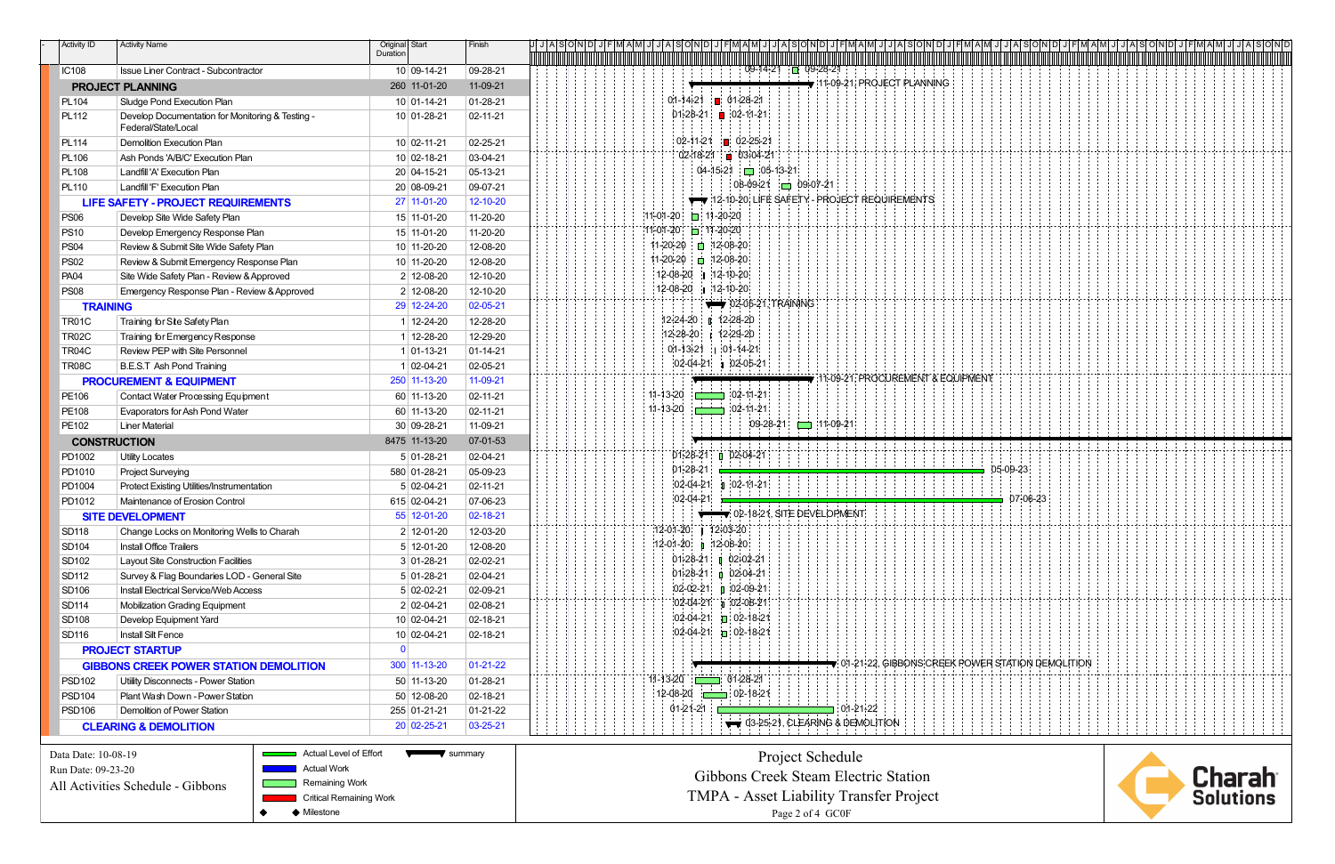| <b>Activity ID</b>  | <b>Activity Name</b>                                                    | Original Start<br>Duration | Finish           | h 1   Y   8   0   N   D   1 |                                  |                                                                       |
|---------------------|-------------------------------------------------------------------------|----------------------------|------------------|-----------------------------|----------------------------------|-----------------------------------------------------------------------|
|                     |                                                                         |                            |                  |                             |                                  |                                                                       |
| <b>IC108</b>        | Issue Liner Contract - Subcontractor                                    | 10 09-14-21                | 09-28-21         |                             |                                  | $09-14-21$ $\Box$ 09-28-21                                            |
|                     | <b>PROJECT PLANNING</b>                                                 | 260 11-01-20               | 11-09-21         |                             |                                  | $\blacktriangledown$ 11-09-21, PROJECT PLANNING                       |
| PL104               | Sludge Pond Execution Plan                                              | 10 01-14-21                | $ 01 - 28 - 21$  |                             |                                  | $01-14+21$ 01-28-21                                                   |
| PL112               | Develop Documentation for Monitoring & Testing -<br>Federal/State/Local | $10 01-28-21$              | $ 02 - 11 - 21 $ |                             |                                  | $01-28-21$ 02-11-21                                                   |
| <b>PL114</b>        | <b>Demolition Execution Plan</b>                                        | 10 02-11-21                | $02 - 25 - 21$   |                             |                                  | $02-11-21$ 02-25-21                                                   |
| <b>PL106</b>        | Ash Ponds 'A/B/C' Execution Plan                                        | 10 02-18-21                | 03-04-21         |                             |                                  | $02 - 18 - 21 = 03 - 04 - 21$                                         |
| <b>PL108</b>        | Landfill 'A' Execution Plan                                             | 20 04-15-21                | 05-13-21         |                             |                                  | $04-15-21$ 05-13-21                                                   |
| <b>PL110</b>        | Landfill 'F' Execution Plan                                             | 20 08-09-21                | $ 09-07-21$      |                             |                                  | $08-09-21$ 09-07-21                                                   |
|                     | <b>LIFE SAFETY - PROJECT REQUIREMENTS</b>                               | 27 11-01-20                | 12-10-20         |                             |                                  | 12-10-20, LIFE SAFETY - PROJECT REQUIREMENTS                          |
| <b>PS06</b>         | Develop Site Wide Safety Plan                                           | 15 11-01-20                | $11-20-20$       |                             | $11-01-20$ 11-20-20              |                                                                       |
| <b>PS10</b>         | Develop Emergency Response Plan                                         | 15 11-01-20                | $11-20-20$       |                             | 11-01-20 11-20-20                |                                                                       |
| <b>PS04</b>         | Review & Submit Site Wide Safety Plan                                   | 10 11-20-20                | 12-08-20         |                             | 11-20-20   □ 12-08-20            |                                                                       |
| <b>PS02</b>         | Review & Submit Emergency Response Plan                                 | 10 11-20-20                | 12-08-20         |                             | 11-20-20   ■ 12-08-20            |                                                                       |
| <b>PA04</b>         | Site Wide Safety Plan - Review & Approved                               | 2 12-08-20                 | 12-10-20         |                             | 12-08-20 1 12-10-20              |                                                                       |
| <b>PS08</b>         | Emergency Response Plan - Review & Approved                             | 2 12-08-20                 | 12-10-20         |                             | 12-08-20 1 12-10-20              |                                                                       |
| <b>TRAINING</b>     |                                                                         | 29 12-24-20                | 02-05-21         |                             |                                  | 02-05-21, TRAINING                                                    |
| <b>TR01C</b>        | Training for Site Safety Plan                                           | 1 12-24-20                 | 12-28-20         |                             |                                  | $12+24-20$   $12+28-20$                                               |
| <b>TR02C</b>        | Training for Emergency Response                                         | 1 12-28-20                 | 12-29-20         |                             | $12 - 28 - 20$                   | 12-29-20                                                              |
| TR04C               | Review PEP with Site Personnel                                          | $1 01-13-21$               | $ 01 - 14 - 21$  |                             |                                  | $01-13+21$ 01-14-21                                                   |
| <b>TR08C</b>        | <b>B.E.S.T Ash Pond Training</b>                                        | $1 02-04-21$               | $02 - 05 - 21$   |                             |                                  | $ 02-04-21 $ 02-05-21                                                 |
|                     | <b>PROCUREMENT &amp; EQUIPMENT</b>                                      | 250 11-13-20               | 11-09-21         |                             |                                  | 11-09-21, PROCUREMENT & EQUIPMENT                                     |
| PE106               | <b>Contact Water Processing Equipment</b>                               | 60 11-13-20                | $ 02 - 11 - 21 $ |                             |                                  | $11-13-20$ $102-11-21$                                                |
| PE108               | Evaporators for Ash Pond Water                                          | 60 11-13-20                | $ 02 - 11 - 21 $ |                             |                                  | $11 - 13 - 20$ $11 - 21$                                              |
| PE102               | <b>Liner Material</b>                                                   | $30 09-28-21$              | $11-09-21$       |                             |                                  | $11-09-21$ 11-09-21                                                   |
|                     | <b>CONSTRUCTION</b>                                                     | 8475 11-13-20              | 07-01-53         |                             |                                  |                                                                       |
| PD1002              | <b>Utility Locates</b>                                                  | $5 01-28-21$               | $02 - 04 - 21$   |                             |                                  | 01-28-21 02-04-21                                                     |
| PD1010              | <b>Project Surveying</b>                                                | 580 01-28-21               | 05-09-23         |                             | $01-28-21$                       | 05-09-23                                                              |
| PD1004              | Protect Existing Utilities/Instrumentation                              | $5 02-04-21$               | $ 02 - 11 - 21 $ |                             |                                  | $ 02-04-21 \quad 0$ 02-11-21                                          |
| PD1012              | Maintenance of Erosion Control                                          | 615 02-04-21               | 07-06-23         |                             | $02-04-21$                       | 07-06-23                                                              |
|                     | <b>SITE DEVELOPMENT</b>                                                 | 55 12-01-20                | 02-18-21         |                             |                                  | $\sqrt{ }$ 02-18-21, SITE DEVELOPMENT                                 |
| <b>SD118</b>        | Change Locks on Monitoring Wells to Charah                              | $2$ 12-01-20               | 12-03-20         |                             | 12-01-20   12-03-20              |                                                                       |
| SD104               | <b>Install Office Trailers</b>                                          | $5 12-01-20$               | 12-08-20         |                             | 12-01-20 p 12-08-20              |                                                                       |
| SD102               | Layout Site Construction Facilities                                     | $3 01-28-21$               | $02-02-21$       |                             |                                  | $01-28-21$ 02-02-21                                                   |
| SD112               | Survey & Flag Boundaries LOD - General Site                             | $5 01-28-21$               | $02 - 04 - 21$   |                             |                                  | $01-28-21$ 02-04-21                                                   |
| SD106               | <b>Install Electrical Service/Web Access</b>                            | $5 02-02-21$               | $02-09-21$       |                             |                                  | $102-02-21$ 02-09-21                                                  |
| SD114               | <b>Mobilization Grading Equipment</b>                                   | $2 02-04-21$               | 02-08-21         |                             |                                  | $02-04-21$ 02-08-21                                                   |
| SD108               | Develop Equipment Yard                                                  | 10 02-04-21                | $ 02 - 18 - 21$  |                             |                                  | $102-04-21$ 02-18-21                                                  |
| SD116               | Install Silt Fence                                                      | 10 02-04-21                | $ 02 - 18 - 21 $ |                             |                                  | $102-04-21$ 02-18-21                                                  |
|                     | <b>PROJECT STARTUP</b>                                                  | $\mathbf{0}$               |                  |                             |                                  |                                                                       |
|                     | <b>GIBBONS CREEK POWER STATION DEMOLITION</b>                           | $300$ 11-13-20             | $01-21-22$       |                             |                                  | $\blacktriangledown$ 01-21-22, GIBBONS CREEK POWER STATION DEMOLITION |
| <b>PSD102</b>       | Utility Disconnects - Power Station                                     | 50 11-13-20                | $ 01 - 28 - 21$  |                             | 11-13-20 <del>120 01-28-21</del> |                                                                       |
| <b>PSD104</b>       | Plant Wash Down - Power Station                                         | 50 12-08-20                | $02 - 18 - 21$   |                             |                                  | $12-08-20$ $\sqrt{2}-18-21$                                           |
| <b>PSD106</b>       | Demolition of Power Station                                             | 255 01-21-21               | $ 01 - 21 - 22 $ |                             | 01-21-21 $\square$               | $\blacksquare$ : 01-21-22                                             |
|                     | <b>CLEARING &amp; DEMOLITION</b>                                        | $20 02-25-21$              | 03-25-21         |                             |                                  | $\rightarrow$ 03-25-21, CLEARING & DEMOLITION                         |
| Data Date: 10-08-19 | Actual Level of Effort                                                  | summary                    |                  |                             |                                  | Project Schedule                                                      |

Run Date: 09-23-20

All Activities Schedule - Gibbons

 Remaining WorkCritical Remaining Work

**Actual Work** 

 $\bullet$ ◆ Milestone

 Project Schedule Gibbons Creek Steam Electric Station TMPA - Asset Liability Transfer ProjectPage 2 of 4 GC0F

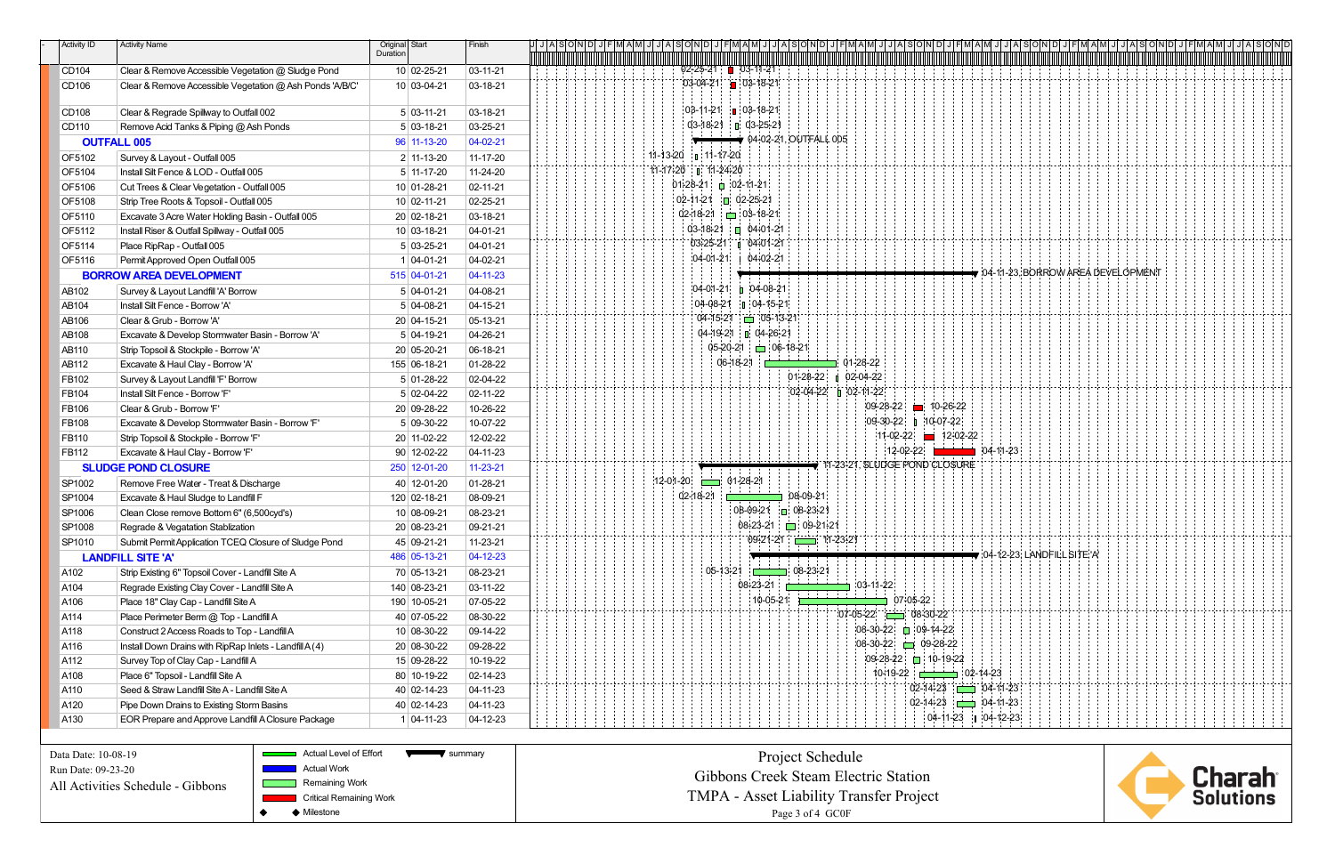| <b>Activity ID</b> | <b>Activity Name</b>                                     | Original Start<br>Duration | Finish           | <u>MINSOMDISH</u>                                            |  |
|--------------------|----------------------------------------------------------|----------------------------|------------------|--------------------------------------------------------------|--|
|                    |                                                          |                            |                  |                                                              |  |
| CD104              | Clear & Remove Accessible Vegetation @ Sludge Pond       | 10 02-25-21                | $ 03 - 11 - 21 $ | $02 - 25 - 21$ 03-11-21                                      |  |
| CD106              | Clear & Remove Accessible Vegetation @ Ash Ponds 'A/B/C' | 10 03-04-21                | $ 03 - 18 - 21$  | $03-04-21$ 03-18-21                                          |  |
| CD108              | Clear & Regrade Spillway to Outfall 002                  | $5 03-11-21$               | $ 03 - 18 - 21$  | $103-11-21$ 03-18-21                                         |  |
| CD110              | Remove Acid Tanks & Piping @ Ash Ponds                   | $5 03-18-21$               | $ 03 - 25 - 21 $ | $03-18-21$ $\Box$ 03-25-21                                   |  |
|                    | <b>OUTFALL 005</b>                                       | 96 11-13-20                | $04-02-21$       | $\sqrt{04-02-21}$ , OUTFALL 005                              |  |
| OF5102             | Survey & Layout - Outfall 005                            | $2$ 11-13-20               | $11 - 17 - 20$   | $11-13-20$ is $11-17-20$                                     |  |
| OF5104             | Install Silt Fence & LOD - Outfall 005                   | $5$ 11-17-20               | $11-24-20$       | $11-17-20$ $1$ $11-24-20$                                    |  |
| OF5106             | Cut Trees & Clear Vegetation - Outfall 005               | 10 01-28-21                | $ 02 - 11 - 21 $ | $01-28-21$ 02-11-21                                          |  |
| OF5108             | Strip Tree Roots & Topsoil - Outfall 005                 | $10 02-11-21$              | $02 - 25 - 21$   | $02-11-21$ 02-25-21                                          |  |
| OF5110             | Excavate 3 Acre Water Holding Basin - Outfall 005        | 20 02-18-21                | $ 03 - 18 - 21$  | $02-18-21$ $\Box$ 03-18-21                                   |  |
| OF5112             | Install Riser & Outfall Spillway - Outfall 005           | $10 03-18-21$              | $ 04 - 01 - 21$  | $03-18-21$ = $04+01-21$                                      |  |
| OF5114             | Place RipRap - Outfall 005                               | $5 03-25-21$               | $ 04 - 01 - 21$  | $03-25-21$ 04-01-21                                          |  |
| OF5116             | Permit Approved Open Outfall 005                         | $1 04-01-21$               | $ 04-02-21$      | $04-01-21$ 04+02-21                                          |  |
|                    | <b>BORROW AREA DEVELOPMENT</b>                           | $515$ 04-01-21             | $04 - 11 - 23$   | $\blacktriangledown$ 04-11-23, BORROW AREA DEVELOPMENT       |  |
| AB102              | Survey & Layout Landfill 'A' Borrow                      | $5 04-01-21$               | $ 04 - 08 - 21 $ | $[04-01-21]$ 04-08-21                                        |  |
| AB104              | Install Silt Fence - Borrow 'A'                          | $5 04-08-21$               | $ 04 - 15 - 21$  | $04-08-21$ 04-15-21                                          |  |
| AB106              | Clear & Grub - Borrow 'A'                                | 20 04-15-21                | $ 05 - 13 - 21$  | $04 - 15 - 21 = 05 - 13 - 21$                                |  |
| AB108              | Excavate & Develop Stormwater Basin - Borrow 'A'         | $5 04-19-21$               | $ 04 - 26 - 21$  | 04-19-21 04-26-21                                            |  |
| AB110              | Strip Topsoil & Stockpile - Borrow 'A'                   | 20 05-20-21                | $ 06 - 18 - 21$  | $05-20-21$ 06-18-21                                          |  |
| AB112              | Excavate & Haul Clay - Borrow 'A'                        | 155 06-18-21               | $01-28-22$       | $06-18-21$ $\Box$<br>$\Box 01-28-22$                         |  |
| FB102              | Survey & Layout Landfill 'F' Borrow                      | $5 01-28-22$               | $02 - 04 - 22$   | $01-28-22$ $\parallel$ 02-04-22                              |  |
| FB104              | Install Silt Fence - Borrow 'F'                          | $5 02-04-22$               | $02 - 11 - 22$   | $02-04-22$ 02-11-22                                          |  |
| FB106              | Clear & Grub - Borrow 'F'                                | 20 09-28-22                | 10-26-22         | $ 09-28-22 $ = 10-26-22                                      |  |
| FB108              | Excavate & Develop Stormwater Basin - Borrow 'F'         | $5 09-30-22$               | 10-07-22         | $[09-30-22]$ 10-07-22                                        |  |
| FB110              | Strip Topsoil & Stockpile - Borrow 'F'                   | 20 11-02-22                | 12-02-22         | $11-02-22$ 12-02-22                                          |  |
| FB112              | Excavate & Haul Clay - Borrow 'F'                        | $90$ 12-02-22              | $ 04 - 11 - 23$  | $12-02-22$<br>$104-11-23$                                    |  |
|                    | <b>SLUDGE POND CLOSURE</b>                               | 250 12-01-20               | $11 - 23 - 21$   | $\rightarrow$ 11-23-21, SLUDGE POND CLOSURE                  |  |
| SP1002             | Remove Free Water - Treat & Discharge                    | 40 12-01-20                | $ 01 - 28 - 21$  | $12-01-20$ 01-28-21                                          |  |
| SP1004             | Excavate & Haul Sludge to Landfill F                     | 120 02-18-21               | 08-09-21         | 02-18-21<br>08-09-21                                         |  |
| SP1006             | Clean Close remove Bottom 6" (6,500cyd's)                | $10 08-09-21$              | $ 08-23-21$      | 08-09-21 08-23-21                                            |  |
| SP1008             | Regrade & Vegatation Stablization                        | 20 08-23-21                | 09-21-21         | $08 - 23 - 21$ 09-21-21                                      |  |
| SP1010             | Submit Permit Application TCEQ Closure of Sludge Pond    | 45 09-21-21                | $11 - 23 - 21$   | $09+21-21$ $11-23-21$                                        |  |
|                    | <b>LANDFILL SITE 'A'</b>                                 | 486 05-13-21               | $04-12-23$       | $\blacktriangledown$ 04-12-23, LANDFILL SITE 'A'             |  |
| A102               | Strip Existing 6" Topsoil Cover - Landfill Site A        | 70 05-13-21                | 08-23-21         | $05-13-21$ $11-108-23-21$                                    |  |
| A104               | Regrade Existing Clay Cover - Landfill Site A            | 140 08-23-21               | 03-11-22         | $08-23-21$<br>$\equiv$ 103-11-22:<br>the control of the con- |  |
| A106               | Place 18" Clay Cap - Landfill Site A                     | 190 10-05-21               | 07-05-22         | 10-05-21<br>$\Box$ 07-05-22                                  |  |
| A114               | Place Perimeter Berm @ Top - Landfill A                  | 40 07-05-22                | 08-30-22         | $07-05-22$ $08-30-22$                                        |  |
| A118               | Construct 2 Access Roads to Top - Landfill A             | $10 08-30-22$              | $ 09-14-22 $     | $ 08-30-22 $ 09-14-22                                        |  |
| A116               | Install Down Drains with RipRap Inlets - Landfill A(4)   | 20 08-30-22                | 09-28-22         | $08-30-22$ $\Box$ 09-28-22                                   |  |
| A112               | Survey Top of Clay Cap - Landfill A                      | 15 09-28-22                | 10-19-22         | $ 09-28-22 $ 10-19-22                                        |  |
| A108               | Place 6" Topsoil - Landfill Site A                       | 80 10-19-22                | $ 02 - 14 - 23$  | $10-19-22$ $10-14-23$                                        |  |
| A110               | Seed & Straw Landfill Site A - Landfill Site A           | $40 02-14-23$              | $ 04 - 11 - 23 $ | $02 - 14 - 23$ $\longrightarrow 04 - 11 - 23$                |  |
| A120               | Pipe Down Drains to Existing Storm Basins                | 40 02-14-23                | $ 04 - 11 - 23 $ | $02 - 14 - 23$ $\Box$ $04 - 11 - 23$                         |  |
| A130               | EOR Prepare and Approve Landfill A Closure Package       | $1 04-11-23$               | $ 04 - 12 - 23 $ | $04-11-23$ $04-12-23$                                        |  |

| ' summarv<br>Project Schedule<br><b>Gibbons Creek Steam Electric Station</b><br><b>TMPA</b> - Asset Liability Transfer Project |
|--------------------------------------------------------------------------------------------------------------------------------|
| Page 3 of 4 GC0F                                                                                                               |
|                                                                                                                                |